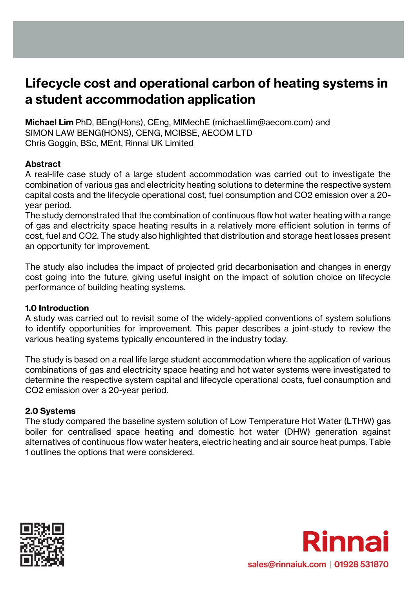# **Lifecycle cost and operational carbon of heating systems in a student accommodation application**

**Michael Lim** PhD, BEng(Hons), CEng, MIMechE (michael.lim@aecom.com) and SIMON LAW BENG(HONS), CENG, MCIBSE, AECOM LTD Chris Goggin, BSc, MEnt, Rinnai UK Limited

## **Abstract**

A real-life case study of a large student accommodation was carried out to investigate the combination of various gas and electricity heating solutions to determine the respective system capital costs and the lifecycle operational cost, fuel consumption and CO2 emission over a 20 year period.

The study demonstrated that the combination of continuous flow hot water heating with a range of gas and electricity space heating results in a relatively more efficient solution in terms of cost, fuel and CO2. The study also highlighted that distribution and storage heat losses present an opportunity for improvement.

The study also includes the impact of projected grid decarbonisation and changes in energy cost going into the future, giving useful insight on the impact of solution choice on lifecycle performance of building heating systems.

#### **1.0 Introduction**

A study was carried out to revisit some of the widely-applied conventions of system solutions to identify opportunities for improvement. This paper describes a joint-study to review the various heating systems typically encountered in the industry today.

The study is based on a real life large student accommodation where the application of various combinations of gas and electricity space heating and hot water systems were investigated to determine the respective system capital and lifecycle operational costs, fuel consumption and CO2 emission over a 20-year period.

## **2.0 Systems**

The study compared the baseline system solution of Low Temperature Hot Water (LTHW) gas boiler for centralised space heating and domestic hot water (DHW) generation against alternatives of continuous flow water heaters, electric heating and air source heat pumps. Table 1 outlines the options that were considered.



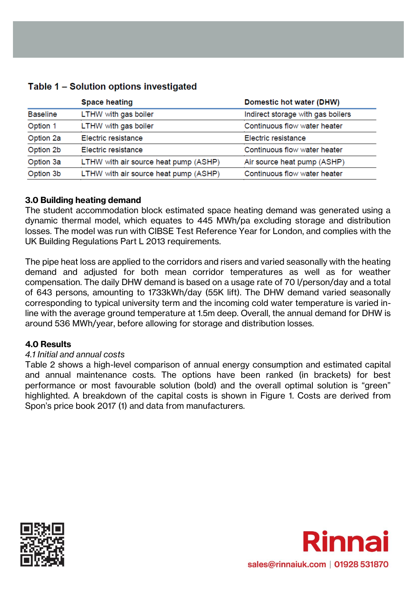# Table 1 - Solution options investigated

|                 | <b>Space heating</b>                  | Domestic hot water (DHW)<br>Indirect storage with gas boilers |  |
|-----------------|---------------------------------------|---------------------------------------------------------------|--|
| <b>Baseline</b> | LTHW with gas boiler                  |                                                               |  |
| Option 1        | LTHW with gas boiler                  | Continuous flow water heater                                  |  |
| Option 2a       | Electric resistance                   | Electric resistance                                           |  |
| Option 2b       | Electric resistance                   | Continuous flow water heater                                  |  |
| Option 3a       | LTHW with air source heat pump (ASHP) | Air source heat pump (ASHP)                                   |  |
| Option 3b       | LTHW with air source heat pump (ASHP) | Continuous flow water heater                                  |  |
|                 |                                       |                                                               |  |

### **3.0 Building heating demand**

The student accommodation block estimated space heating demand was generated using a dynamic thermal model, which equates to 445 MWh/pa excluding storage and distribution losses. The model was run with CIBSE Test Reference Year for London, and complies with the UK Building Regulations Part L 2013 requirements.

The pipe heat loss are applied to the corridors and risers and varied seasonally with the heating demand and adjusted for both mean corridor temperatures as well as for weather compensation. The daily DHW demand is based on a usage rate of 70 l/person/day and a total of 643 persons, amounting to 1733kWh/day (55K lift). The DHW demand varied seasonally corresponding to typical university term and the incoming cold water temperature is varied inline with the average ground temperature at 1.5m deep. Overall, the annual demand for DHW is around 536 MWh/year, before allowing for storage and distribution losses.

#### **4.0 Results**

#### *4.1 Initial and annual costs*

Table 2 shows a high-level comparison of annual energy consumption and estimated capital and annual maintenance costs. The options have been ranked (in brackets) for best performance or most favourable solution (bold) and the overall optimal solution is "green" highlighted. A breakdown of the capital costs is shown in Figure 1. Costs are derived from Spon's price book 2017 (1) and data from manufacturers.



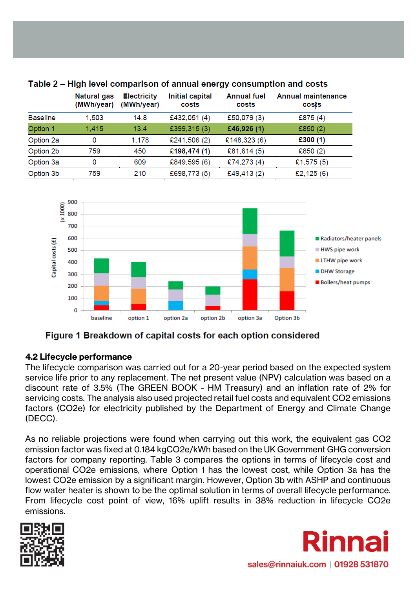|                                                              | <b>Natural gas</b><br>(MWh/year) | <b>Electricity</b><br>(MWh/year) | <b>Initial capital</b><br>costs | <b>Annual fuel</b><br>costs | Annual maintenance<br>costs |
|--------------------------------------------------------------|----------------------------------|----------------------------------|---------------------------------|-----------------------------|-----------------------------|
| <b>Baseline</b>                                              | 1,503                            | 14.8                             | £432,051 (4)                    | £50,079 (3)                 | £875 $(4)$                  |
|                                                              | 1,415                            | 13.4                             | £399,315 (3)                    | £46,926 (1)                 | £850 $(2)$                  |
|                                                              | 0                                | 1,178                            | £241,506 (2)                    | £148,323 (6)                | £300 $(1)$                  |
|                                                              | 759                              | 450                              | £198,474 (1)                    | £81,614 $(5)$               | £850 $(2)$                  |
|                                                              | 0                                | 609                              | £849,595 (6)                    | £74,273 (4)                 | £1,575 $(5)$                |
|                                                              | 759                              | 210                              | £698,773 (5)                    | £49,413 (2)                 | £2,125 $(6)$                |
| Option 1<br>Option 2a<br>Option 2b<br>Option 3a<br>Option 3b |                                  |                                  |                                 |                             |                             |

# Table 2 – High level comparison of annual energy consumption and costs



Figure 1 Breakdown of capital costs for each option considered

# **4.2 Lifecycle performance**

The lifecycle comparison was carried out for a 20-year period based on the expected system service life prior to any replacement. The net present value (NPV) calculation was based on a discount rate of 3.5% (The GREEN BOOK - HM Treasury) and an inflation rate of 2% for servicing costs. The analysis also used projected retail fuel costs and equivalent CO2 emissions factors (CO2e) for electricity published by the Department of Energy and Climate Change (DECC).

As no reliable projections were found when carrying out this work, the equivalent gas CO2 emission factor was fixed at 0.184 kgCO2e/kWh based on the UK Government GHG conversion factors for company reporting. Table 3 compares the options in terms of lifecycle cost and operational CO2e emissions, where Option 1 has the lowest cost, while Option 3a has the lowest CO2e emission by a significant margin. However, Option 3b with ASHP and continuous flow water heater is shown to be the optimal solution in terms of overall lifecycle performance. From lifecycle cost point of view, 16% uplift results in 38% reduction in lifecycle CO2e emissions.



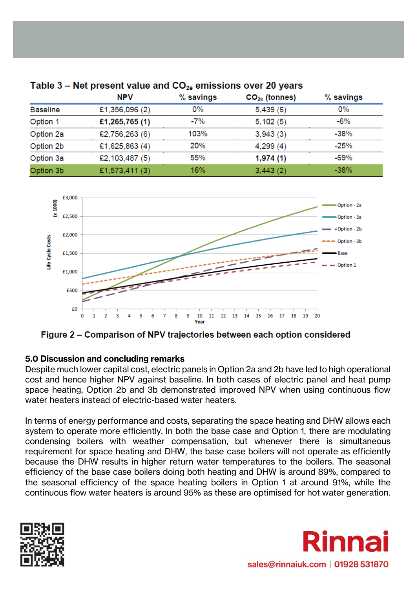|                 | <b>NPV</b>     | $%$ savings | $CO2e$ (tonnes) | % savings |
|-----------------|----------------|-------------|-----------------|-----------|
| <b>Baseline</b> | £1,356,096 (2) | $0\%$       | 5,439(6)        | 0%        |
| Option 1        | £1,265,765(1)  | $-7%$       | 5,102(5)        | $-6%$     |
| Option 2a       | £2,756,263 (6) | 103%        | 3,943(3)        | $-38%$    |
| Option 2b       | £1,625,863 (4) | 20%         | 4,299(4)        | $-25%$    |
| Option 3a       | £2,103,487 (5) | 55%         | 1,974(1)        | $-69%$    |
| Option 3b       | £1,573,411 (3) | 16%         | 3,443(2)        | $-38%$    |

# Table 3 – Net present value and  $CO_{2e}$  emissions over 20 years



Figure 2 – Comparison of NPV trajectories between each option considered

## **5.0 Discussion and concluding remarks**

Despite much lower capital cost, electric panels in Option 2a and 2b have led to high operational cost and hence higher NPV against baseline. In both cases of electric panel and heat pump space heating, Option 2b and 3b demonstrated improved NPV when using continuous flow water heaters instead of electric-based water heaters.

In terms of energy performance and costs, separating the space heating and DHW allows each system to operate more efficiently. In both the base case and Option 1, there are modulating condensing boilers with weather compensation, but whenever there is simultaneous requirement for space heating and DHW, the base case boilers will not operate as efficiently because the DHW results in higher return water temperatures to the boilers. The seasonal efficiency of the base case boilers doing both heating and DHW is around 89%, compared to the seasonal efficiency of the space heating boilers in Option 1 at around 91%, while the continuous flow water heaters is around 95% as these are optimised for hot water generation.